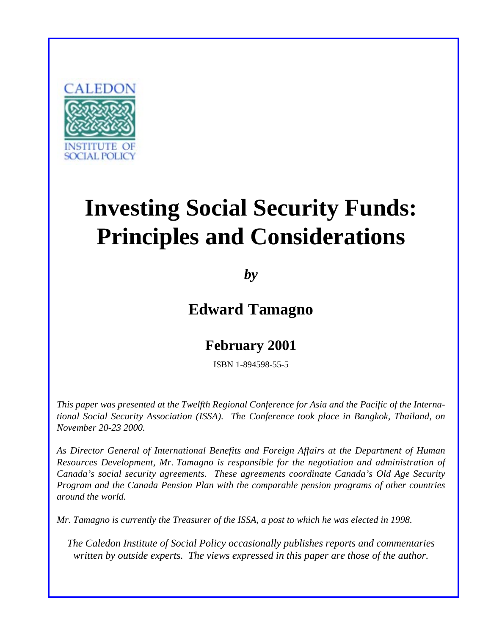

# **Investing Social Security Funds: Principles and Considerations**

*by*

**Edward Tamagno**

# **February 2001**

ISBN 1-894598-55-5

*This paper was presented at the Twelfth Regional Conference for Asia and the Pacific of the International Social Security Association (ISSA). The Conference took place in Bangkok, Thailand, on November 20-23 2000.*

*As Director General of International Benefits and Foreign Affairs at the Department of Human Resources Development, Mr. Tamagno is responsible for the negotiation and administration of Canada's social security agreements. These agreements coordinate Canada's Old Age Security Program and the Canada Pension Plan with the comparable pension programs of other countries around the world.*

*Mr. Tamagno is currently the Treasurer of the ISSA, a post to which he was elected in 1998.*

*The Caledon Institute of Social Policy occasionally publishes reports and commentaries written by outside experts. The views expressed in this paper are those of the author.*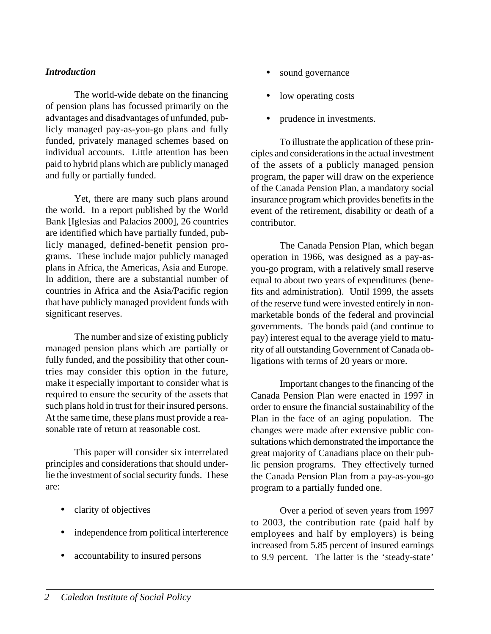#### *Introduction*

The world-wide debate on the financing of pension plans has focussed primarily on the advantages and disadvantages of unfunded, publicly managed pay-as-you-go plans and fully funded, privately managed schemes based on individual accounts. Little attention has been paid to hybrid plans which are publicly managed and fully or partially funded.

Yet, there are many such plans around the world. In a report published by the World Bank [Iglesias and Palacios 2000], 26 countries are identified which have partially funded, publicly managed, defined-benefit pension programs. These include major publicly managed plans in Africa, the Americas, Asia and Europe. In addition, there are a substantial number of countries in Africa and the Asia/Pacific region that have publicly managed provident funds with significant reserves.

The number and size of existing publicly managed pension plans which are partially or fully funded, and the possibility that other countries may consider this option in the future, make it especially important to consider what is required to ensure the security of the assets that such plans hold in trust for their insured persons. At the same time, these plans must provide a reasonable rate of return at reasonable cost.

This paper will consider six interrelated principles and considerations that should underlie the investment of social security funds. These are:

- clarity of objectives
- independence from political interference
- accountability to insured persons
- sound governance
- low operating costs
- prudence in investments.

To illustrate the application of these principles and considerations in the actual investment of the assets of a publicly managed pension program, the paper will draw on the experience of the Canada Pension Plan, a mandatory social insurance program which provides benefits in the event of the retirement, disability or death of a contributor.

The Canada Pension Plan, which began operation in 1966, was designed as a pay-asyou-go program, with a relatively small reserve equal to about two years of expenditures (benefits and administration). Until 1999, the assets of the reserve fund were invested entirely in nonmarketable bonds of the federal and provincial governments. The bonds paid (and continue to pay) interest equal to the average yield to maturity of all outstanding Government of Canada obligations with terms of 20 years or more.

Important changes to the financing of the Canada Pension Plan were enacted in 1997 in order to ensure the financial sustainability of the Plan in the face of an aging population. The changes were made after extensive public consultations which demonstrated the importance the great majority of Canadians place on their public pension programs. They effectively turned the Canada Pension Plan from a pay-as-you-go program to a partially funded one.

Over a period of seven years from 1997 to 2003, the contribution rate (paid half by employees and half by employers) is being increased from 5.85 percent of insured earnings to 9.9 percent. The latter is the 'steady-state'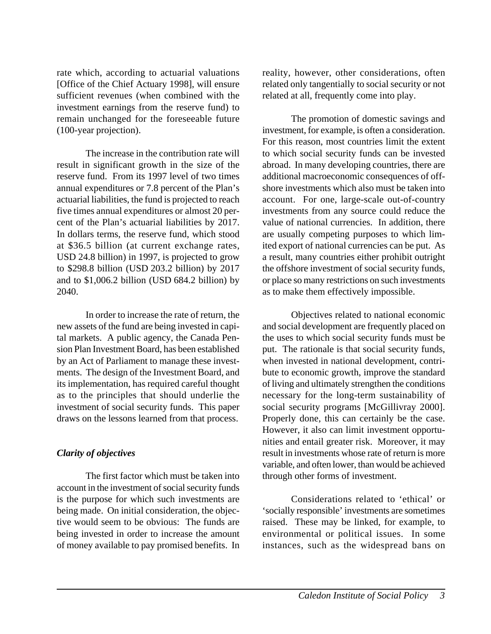rate which, according to actuarial valuations [Office of the Chief Actuary 1998], will ensure sufficient revenues (when combined with the investment earnings from the reserve fund) to remain unchanged for the foreseeable future (100-year projection).

The increase in the contribution rate will result in significant growth in the size of the reserve fund. From its 1997 level of two times annual expenditures or 7.8 percent of the Plan's actuarial liabilities, the fund is projected to reach five times annual expenditures or almost 20 percent of the Plan's actuarial liabilities by 2017. In dollars terms, the reserve fund, which stood at \$36.5 billion (at current exchange rates, USD 24.8 billion) in 1997, is projected to grow to \$298.8 billion (USD 203.2 billion) by 2017 and to \$1,006.2 billion (USD 684.2 billion) by 2040.

In order to increase the rate of return, the new assets of the fund are being invested in capital markets. A public agency, the Canada Pension Plan Investment Board, has been established by an Act of Parliament to manage these investments. The design of the Investment Board, and its implementation, has required careful thought as to the principles that should underlie the investment of social security funds. This paper draws on the lessons learned from that process.

### *Clarity of objectives*

The first factor which must be taken into account in the investment of social security funds is the purpose for which such investments are being made. On initial consideration, the objective would seem to be obvious: The funds are being invested in order to increase the amount of money available to pay promised benefits. In

reality, however, other considerations, often related only tangentially to social security or not related at all, frequently come into play.

The promotion of domestic savings and investment, for example, is often a consideration. For this reason, most countries limit the extent to which social security funds can be invested abroad. In many developing countries, there are additional macroeconomic consequences of offshore investments which also must be taken into account. For one, large-scale out-of-country investments from any source could reduce the value of national currencies. In addition, there are usually competing purposes to which limited export of national currencies can be put. As a result, many countries either prohibit outright the offshore investment of social security funds, or place so many restrictions on such investments as to make them effectively impossible.

Objectives related to national economic and social development are frequently placed on the uses to which social security funds must be put. The rationale is that social security funds, when invested in national development, contribute to economic growth, improve the standard of living and ultimately strengthen the conditions necessary for the long-term sustainability of social security programs [McGillivray 2000]. Properly done, this can certainly be the case. However, it also can limit investment opportunities and entail greater risk. Moreover, it may result in investments whose rate of return is more variable, and often lower, than would be achieved through other forms of investment.

Considerations related to 'ethical' or 'socially responsible' investments are sometimes raised. These may be linked, for example, to environmental or political issues. In some instances, such as the widespread bans on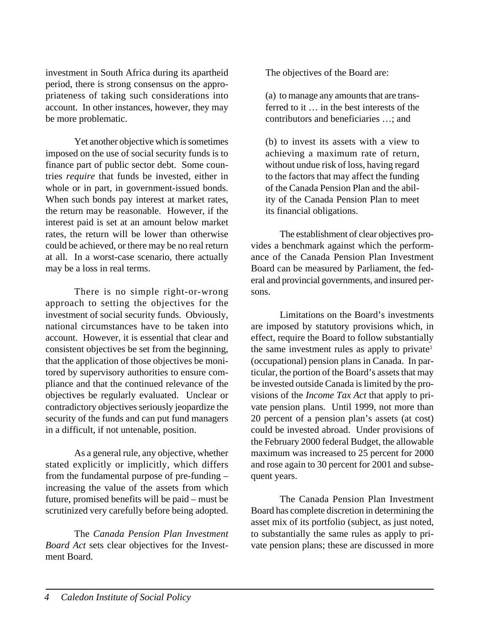investment in South Africa during its apartheid period, there is strong consensus on the appropriateness of taking such considerations into account. In other instances, however, they may be more problematic.

Yet another objective which is sometimes imposed on the use of social security funds is to finance part of public sector debt. Some countries *require* that funds be invested, either in whole or in part, in government-issued bonds. When such bonds pay interest at market rates, the return may be reasonable. However, if the interest paid is set at an amount below market rates, the return will be lower than otherwise could be achieved, or there may be no real return at all. In a worst-case scenario, there actually may be a loss in real terms.

There is no simple right-or-wrong approach to setting the objectives for the investment of social security funds. Obviously, national circumstances have to be taken into account. However, it is essential that clear and consistent objectives be set from the beginning, that the application of those objectives be monitored by supervisory authorities to ensure compliance and that the continued relevance of the objectives be regularly evaluated. Unclear or contradictory objectives seriously jeopardize the security of the funds and can put fund managers in a difficult, if not untenable, position.

As a general rule, any objective, whether stated explicitly or implicitly, which differs from the fundamental purpose of pre-funding – increasing the value of the assets from which future, promised benefits will be paid – must be scrutinized very carefully before being adopted.

The *Canada Pension Plan Investment Board Act* sets clear objectives for the Investment Board.

The objectives of the Board are:

(a) to manage any amounts that are transferred to it … in the best interests of the contributors and beneficiaries …; and

(b) to invest its assets with a view to achieving a maximum rate of return, without undue risk of loss, having regard to the factors that may affect the funding of the Canada Pension Plan and the ability of the Canada Pension Plan to meet its financial obligations.

The establishment of clear objectives provides a benchmark against which the performance of the Canada Pension Plan Investment Board can be measured by Parliament, the federal and provincial governments, and insured persons.

Limitations on the Board's investments are imposed by statutory provisions which, in effect, require the Board to follow substantially the same investment rules as apply to private<sup>1</sup> (occupational) pension plans in Canada. In particular, the portion of the Board's assets that may be invested outside Canada is limited by the provisions of the *Income Tax Act* that apply to private pension plans. Until 1999, not more than 20 percent of a pension plan's assets (at cost) could be invested abroad. Under provisions of the February 2000 federal Budget, the allowable maximum was increased to 25 percent for 2000 and rose again to 30 percent for 2001 and subsequent years.

The Canada Pension Plan Investment Board has complete discretion in determining the asset mix of its portfolio (subject, as just noted, to substantially the same rules as apply to private pension plans; these are discussed in more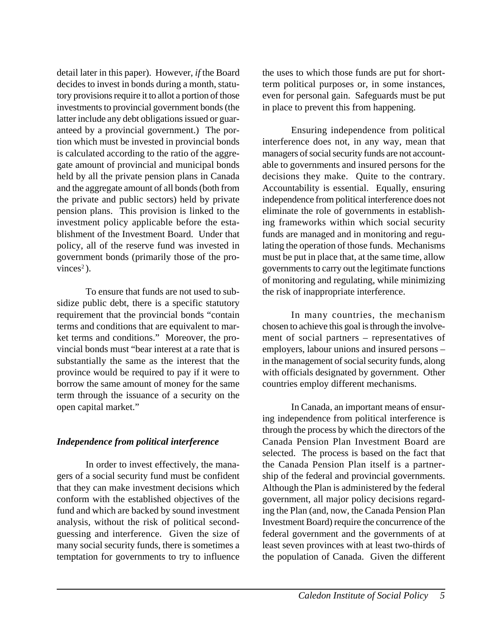detail later in this paper). However, *if* the Board decides to invest in bonds during a month, statutory provisions require it to allot a portion of those investments to provincial government bonds (the latter include any debt obligations issued or guaranteed by a provincial government.) The portion which must be invested in provincial bonds is calculated according to the ratio of the aggregate amount of provincial and municipal bonds held by all the private pension plans in Canada and the aggregate amount of all bonds (both from the private and public sectors) held by private pension plans. This provision is linked to the investment policy applicable before the establishment of the Investment Board. Under that policy, all of the reserve fund was invested in government bonds (primarily those of the provinces<sup>2</sup>).

To ensure that funds are not used to subsidize public debt, there is a specific statutory requirement that the provincial bonds "contain terms and conditions that are equivalent to market terms and conditions." Moreover, the provincial bonds must "bear interest at a rate that is substantially the same as the interest that the province would be required to pay if it were to borrow the same amount of money for the same term through the issuance of a security on the open capital market."

#### *Independence from political interference*

In order to invest effectively, the managers of a social security fund must be confident that they can make investment decisions which conform with the established objectives of the fund and which are backed by sound investment analysis, without the risk of political secondguessing and interference. Given the size of many social security funds, there is sometimes a temptation for governments to try to influence the uses to which those funds are put for shortterm political purposes or, in some instances, even for personal gain. Safeguards must be put in place to prevent this from happening.

Ensuring independence from political interference does not, in any way, mean that managers of social security funds are not accountable to governments and insured persons for the decisions they make. Quite to the contrary. Accountability is essential. Equally, ensuring independence from political interference does not eliminate the role of governments in establishing frameworks within which social security funds are managed and in monitoring and regulating the operation of those funds. Mechanisms must be put in place that, at the same time, allow governments to carry out the legitimate functions of monitoring and regulating, while minimizing the risk of inappropriate interference.

In many countries, the mechanism chosen to achieve this goal is through the involvement of social partners – representatives of employers, labour unions and insured persons – in the management of social security funds, along with officials designated by government. Other countries employ different mechanisms.

In Canada, an important means of ensuring independence from political interference is through the process by which the directors of the Canada Pension Plan Investment Board are selected. The process is based on the fact that the Canada Pension Plan itself is a partnership of the federal and provincial governments. Although the Plan is administered by the federal government, all major policy decisions regarding the Plan (and, now, the Canada Pension Plan Investment Board) require the concurrence of the federal government and the governments of at least seven provinces with at least two-thirds of the population of Canada. Given the different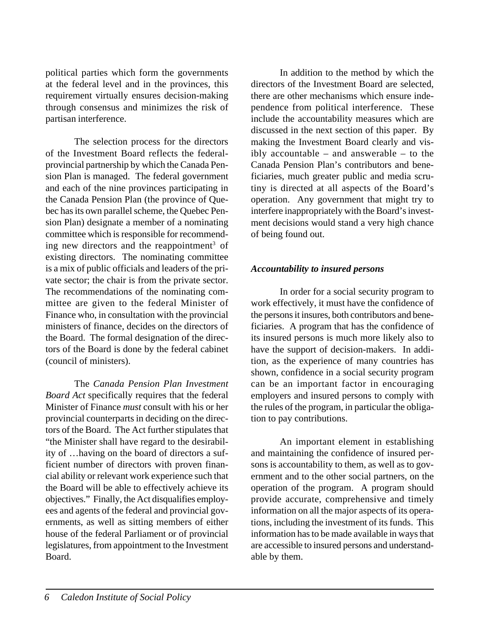political parties which form the governments at the federal level and in the provinces, this requirement virtually ensures decision-making through consensus and minimizes the risk of partisan interference.

The selection process for the directors of the Investment Board reflects the federalprovincial partnership by which the Canada Pension Plan is managed. The federal government and each of the nine provinces participating in the Canada Pension Plan (the province of Quebec has its own parallel scheme, the Quebec Pension Plan) designate a member of a nominating committee which is responsible for recommending new directors and the reappointment<sup>3</sup> of existing directors. The nominating committee is a mix of public officials and leaders of the private sector; the chair is from the private sector. The recommendations of the nominating committee are given to the federal Minister of Finance who, in consultation with the provincial ministers of finance, decides on the directors of the Board. The formal designation of the directors of the Board is done by the federal cabinet (council of ministers).

The *Canada Pension Plan Investment Board Act* specifically requires that the federal Minister of Finance *must* consult with his or her provincial counterparts in deciding on the directors of the Board. The Act further stipulates that "the Minister shall have regard to the desirability of …having on the board of directors a sufficient number of directors with proven financial ability or relevant work experience such that the Board will be able to effectively achieve its objectives." Finally, the Act disqualifies employees and agents of the federal and provincial governments, as well as sitting members of either house of the federal Parliament or of provincial legislatures, from appointment to the Investment Board.

In addition to the method by which the directors of the Investment Board are selected, there are other mechanisms which ensure independence from political interference. These include the accountability measures which are discussed in the next section of this paper. By making the Investment Board clearly and visibly accountable – and answerable – to the Canada Pension Plan's contributors and beneficiaries, much greater public and media scrutiny is directed at all aspects of the Board's operation. Any government that might try to interfere inappropriately with the Board's investment decisions would stand a very high chance of being found out.

#### *Accountability to insured persons*

In order for a social security program to work effectively, it must have the confidence of the persons it insures, both contributors and beneficiaries. A program that has the confidence of its insured persons is much more likely also to have the support of decision-makers. In addition, as the experience of many countries has shown, confidence in a social security program can be an important factor in encouraging employers and insured persons to comply with the rules of the program, in particular the obligation to pay contributions.

An important element in establishing and maintaining the confidence of insured persons is accountability to them, as well as to government and to the other social partners, on the operation of the program. A program should provide accurate, comprehensive and timely information on all the major aspects of its operations, including the investment of its funds. This information has to be made available in ways that are accessible to insured persons and understandable by them.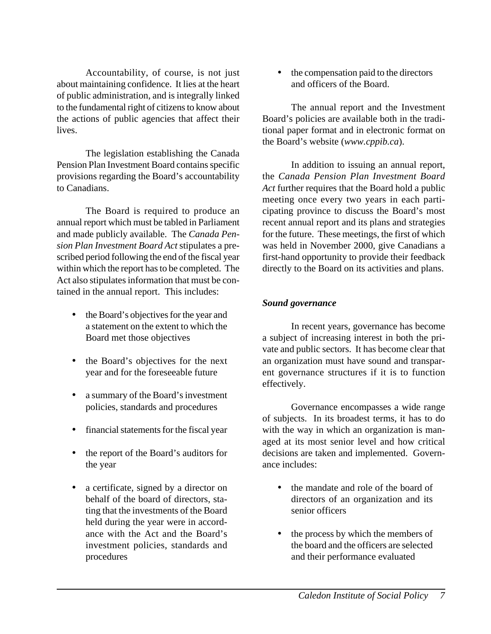Accountability, of course, is not just about maintaining confidence. It lies at the heart of public administration, and is integrally linked to the fundamental right of citizens to know about the actions of public agencies that affect their lives.

The legislation establishing the Canada Pension Plan Investment Board contains specific provisions regarding the Board's accountability to Canadians.

The Board is required to produce an annual report which must be tabled in Parliament and made publicly available. The *Canada Pension Plan Investment Board Act* stipulates a prescribed period following the end of the fiscal year within which the report has to be completed. The Act also stipulates information that must be contained in the annual report. This includes:

- the Board's objectives for the year and a statement on the extent to which the Board met those objectives
- the Board's objectives for the next year and for the foreseeable future
- a summary of the Board's investment policies, standards and procedures
- financial statements for the fiscal year
- the report of the Board's auditors for the year
- a certificate, signed by a director on behalf of the board of directors, stating that the investments of the Board held during the year were in accordance with the Act and the Board's investment policies, standards and procedures

• the compensation paid to the directors and officers of the Board.

The annual report and the Investment Board's policies are available both in the traditional paper format and in electronic format on the Board's website (*www.cppib.ca*).

In addition to issuing an annual report, the *Canada Pension Plan Investment Board Act* further requires that the Board hold a public meeting once every two years in each participating province to discuss the Board's most recent annual report and its plans and strategies for the future. These meetings, the first of which was held in November 2000, give Canadians a first-hand opportunity to provide their feedback directly to the Board on its activities and plans.

#### *Sound governance*

In recent years, governance has become a subject of increasing interest in both the private and public sectors. It has become clear that an organization must have sound and transparent governance structures if it is to function effectively.

Governance encompasses a wide range of subjects. In its broadest terms, it has to do with the way in which an organization is managed at its most senior level and how critical decisions are taken and implemented. Governance includes:

- the mandate and role of the board of directors of an organization and its senior officers
- the process by which the members of the board and the officers are selected and their performance evaluated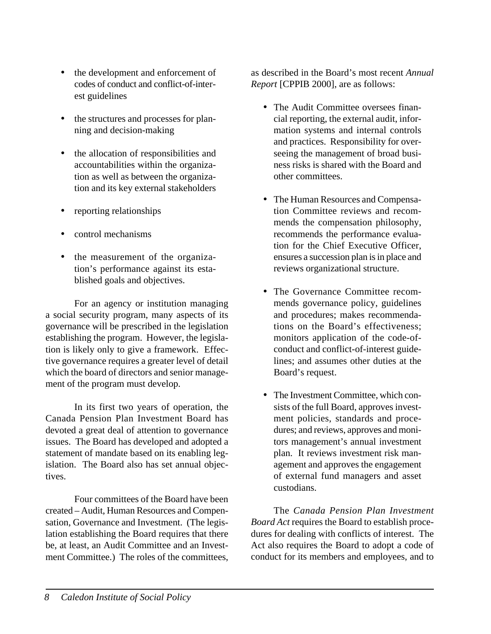- the development and enforcement of codes of conduct and conflict-of-interest guidelines
- the structures and processes for planning and decision-making
- the allocation of responsibilities and accountabilities within the organization as well as between the organization and its key external stakeholders
- reporting relationships
- control mechanisms
- the measurement of the organization's performance against its established goals and objectives.

For an agency or institution managing a social security program, many aspects of its governance will be prescribed in the legislation establishing the program. However, the legislation is likely only to give a framework. Effective governance requires a greater level of detail which the board of directors and senior management of the program must develop.

In its first two years of operation, the Canada Pension Plan Investment Board has devoted a great deal of attention to governance issues. The Board has developed and adopted a statement of mandate based on its enabling legislation. The Board also has set annual objectives.

Four committees of the Board have been created – Audit, Human Resources and Compensation, Governance and Investment. (The legislation establishing the Board requires that there be, at least, an Audit Committee and an Investment Committee.) The roles of the committees, as described in the Board's most recent *Annual Report* [CPPIB 2000], are as follows:

- The Audit Committee oversees financial reporting, the external audit, information systems and internal controls and practices. Responsibility for overseeing the management of broad business risks is shared with the Board and other committees.
- The Human Resources and Compensation Committee reviews and recommends the compensation philosophy, recommends the performance evaluation for the Chief Executive Officer, ensures a succession plan is in place and reviews organizational structure.
- The Governance Committee recommends governance policy, guidelines and procedures; makes recommendations on the Board's effectiveness; monitors application of the code-ofconduct and conflict-of-interest guidelines; and assumes other duties at the Board's request.
- The Investment Committee, which consists of the full Board, approves investment policies, standards and procedures; and reviews, approves and monitors management's annual investment plan. It reviews investment risk management and approves the engagement of external fund managers and asset custodians.

The *Canada Pension Plan Investment Board Act* requires the Board to establish procedures for dealing with conflicts of interest. The Act also requires the Board to adopt a code of conduct for its members and employees, and to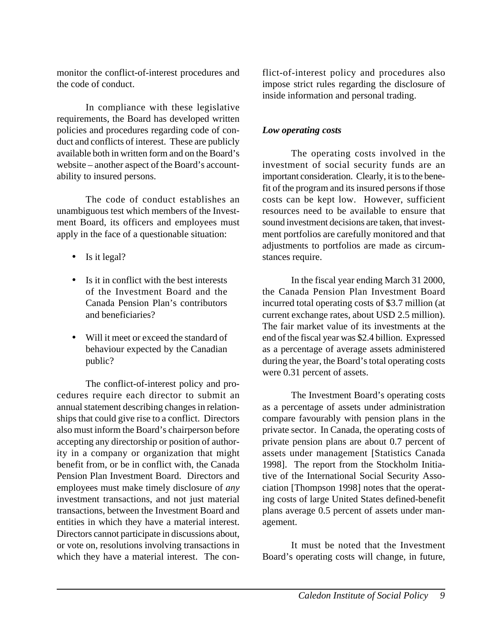monitor the conflict-of-interest procedures and the code of conduct.

In compliance with these legislative requirements, the Board has developed written policies and procedures regarding code of conduct and conflicts of interest. These are publicly available both in written form and on the Board's website – another aspect of the Board's accountability to insured persons.

The code of conduct establishes an unambiguous test which members of the Investment Board, its officers and employees must apply in the face of a questionable situation:

- Is it legal?
- Is it in conflict with the best interests of the Investment Board and the Canada Pension Plan's contributors and beneficiaries?
- Will it meet or exceed the standard of behaviour expected by the Canadian public?

The conflict-of-interest policy and procedures require each director to submit an annual statement describing changes in relationships that could give rise to a conflict. Directors also must inform the Board's chairperson before accepting any directorship or position of authority in a company or organization that might benefit from, or be in conflict with, the Canada Pension Plan Investment Board. Directors and employees must make timely disclosure of *any* investment transactions, and not just material transactions, between the Investment Board and entities in which they have a material interest. Directors cannot participate in discussions about, or vote on, resolutions involving transactions in which they have a material interest. The conflict-of-interest policy and procedures also impose strict rules regarding the disclosure of inside information and personal trading.

## *Low operating costs*

The operating costs involved in the investment of social security funds are an important consideration. Clearly, it is to the benefit of the program and its insured persons if those costs can be kept low. However, sufficient resources need to be available to ensure that sound investment decisions are taken, that investment portfolios are carefully monitored and that adjustments to portfolios are made as circumstances require.

In the fiscal year ending March 31 2000, the Canada Pension Plan Investment Board incurred total operating costs of \$3.7 million (at current exchange rates, about USD 2.5 million). The fair market value of its investments at the end of the fiscal year was \$2.4 billion. Expressed as a percentage of average assets administered during the year, the Board's total operating costs were 0.31 percent of assets.

The Investment Board's operating costs as a percentage of assets under administration compare favourably with pension plans in the private sector. In Canada, the operating costs of private pension plans are about 0.7 percent of assets under management [Statistics Canada 1998]. The report from the Stockholm Initiative of the International Social Security Association [Thompson 1998] notes that the operating costs of large United States defined-benefit plans average 0.5 percent of assets under management.

It must be noted that the Investment Board's operating costs will change, in future,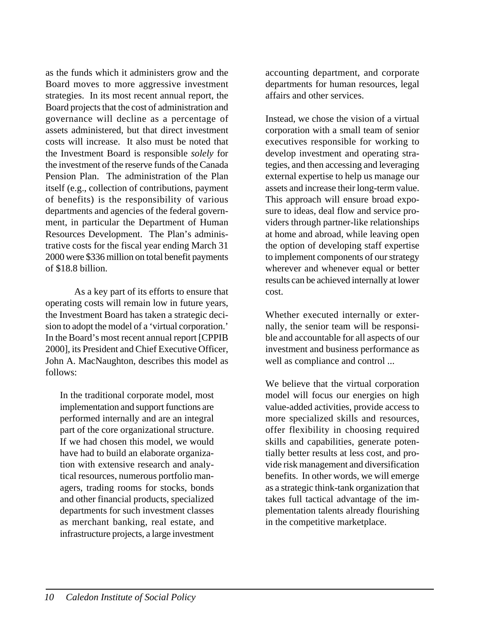as the funds which it administers grow and the Board moves to more aggressive investment strategies. In its most recent annual report, the Board projects that the cost of administration and governance will decline as a percentage of assets administered, but that direct investment costs will increase. It also must be noted that the Investment Board is responsible *solely* for the investment of the reserve funds of the Canada Pension Plan. The administration of the Plan itself (e.g., collection of contributions, payment of benefits) is the responsibility of various departments and agencies of the federal government, in particular the Department of Human Resources Development. The Plan's administrative costs for the fiscal year ending March 31 2000 were \$336 million on total benefit payments of \$18.8 billion.

As a key part of its efforts to ensure that operating costs will remain low in future years, the Investment Board has taken a strategic decision to adopt the model of a 'virtual corporation.' In the Board's most recent annual report [CPPIB 2000], its President and Chief Executive Officer, John A. MacNaughton, describes this model as follows:

In the traditional corporate model, most implementation and support functions are performed internally and are an integral part of the core organizational structure. If we had chosen this model, we would have had to build an elaborate organization with extensive research and analytical resources, numerous portfolio managers, trading rooms for stocks, bonds and other financial products, specialized departments for such investment classes as merchant banking, real estate, and infrastructure projects, a large investment accounting department, and corporate departments for human resources, legal affairs and other services.

Instead, we chose the vision of a virtual corporation with a small team of senior executives responsible for working to develop investment and operating strategies, and then accessing and leveraging external expertise to help us manage our assets and increase their long-term value. This approach will ensure broad exposure to ideas, deal flow and service providers through partner-like relationships at home and abroad, while leaving open the option of developing staff expertise to implement components of our strategy wherever and whenever equal or better results can be achieved internally at lower cost.

Whether executed internally or externally, the senior team will be responsible and accountable for all aspects of our investment and business performance as well as compliance and control ...

We believe that the virtual corporation model will focus our energies on high value-added activities, provide access to more specialized skills and resources, offer flexibility in choosing required skills and capabilities, generate potentially better results at less cost, and provide risk management and diversification benefits. In other words, we will emerge as a strategic think-tank organization that takes full tactical advantage of the implementation talents already flourishing in the competitive marketplace.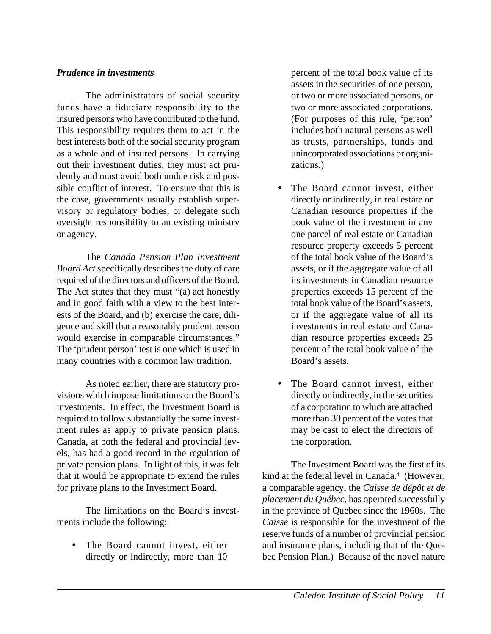#### *Prudence in investments*

The administrators of social security funds have a fiduciary responsibility to the insured persons who have contributed to the fund. This responsibility requires them to act in the best interests both of the social security program as a whole and of insured persons. In carrying out their investment duties, they must act prudently and must avoid both undue risk and possible conflict of interest. To ensure that this is the case, governments usually establish supervisory or regulatory bodies, or delegate such oversight responsibility to an existing ministry or agency.

The *Canada Pension Plan Investment Board Act* specifically describes the duty of care required of the directors and officers of the Board. The Act states that they must "(a) act honestly and in good faith with a view to the best interests of the Board, and (b) exercise the care, diligence and skill that a reasonably prudent person would exercise in comparable circumstances." The 'prudent person' test is one which is used in many countries with a common law tradition.

As noted earlier, there are statutory provisions which impose limitations on the Board's investments. In effect, the Investment Board is required to follow substantially the same investment rules as apply to private pension plans. Canada, at both the federal and provincial levels, has had a good record in the regulation of private pension plans. In light of this, it was felt that it would be appropriate to extend the rules for private plans to the Investment Board.

The limitations on the Board's investments include the following:

• The Board cannot invest, either directly or indirectly, more than 10

percent of the total book value of its assets in the securities of one person, or two or more associated persons, or two or more associated corporations. (For purposes of this rule, 'person' includes both natural persons as well as trusts, partnerships, funds and unincorporated associations or organizations.)

- The Board cannot invest, either directly or indirectly, in real estate or Canadian resource properties if the book value of the investment in any one parcel of real estate or Canadian resource property exceeds 5 percent of the total book value of the Board's assets, or if the aggregate value of all its investments in Canadian resource properties exceeds 15 percent of the total book value of the Board's assets, or if the aggregate value of all its investments in real estate and Canadian resource properties exceeds 25 percent of the total book value of the Board's assets.
- The Board cannot invest, either directly or indirectly, in the securities of a corporation to which are attached more than 30 percent of the votes that may be cast to elect the directors of the corporation.

The Investment Board was the first of its kind at the federal level in Canada.<sup>4</sup> (However, a comparable agency, the *Caisse de dépôt et de placement du Québec*, has operated successfully in the province of Quebec since the 1960s. The *Caisse* is responsible for the investment of the reserve funds of a number of provincial pension and insurance plans, including that of the Quebec Pension Plan.) Because of the novel nature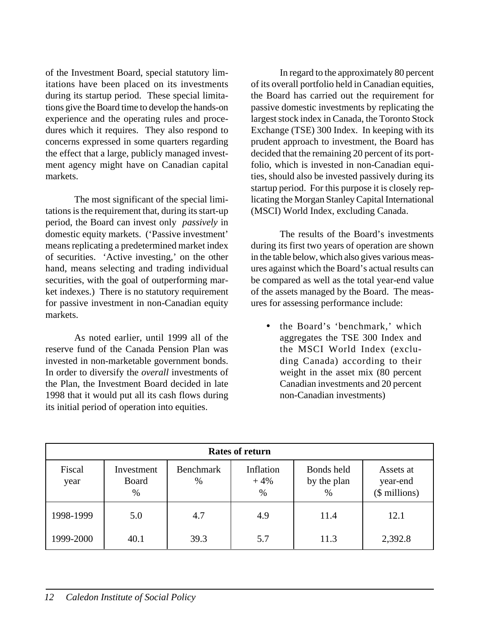of the Investment Board, special statutory limitations have been placed on its investments during its startup period. These special limitations give the Board time to develop the hands-on experience and the operating rules and procedures which it requires. They also respond to concerns expressed in some quarters regarding the effect that a large, publicly managed investment agency might have on Canadian capital markets.

The most significant of the special limitations is the requirement that, during its start-up period, the Board can invest only *passively* in domestic equity markets. ('Passive investment' means replicating a predetermined market index of securities. 'Active investing,' on the other hand, means selecting and trading individual securities, with the goal of outperforming market indexes.) There is no statutory requirement for passive investment in non-Canadian equity markets.

As noted earlier, until 1999 all of the reserve fund of the Canada Pension Plan was invested in non-marketable government bonds. In order to diversify the *overall* investments of the Plan, the Investment Board decided in late 1998 that it would put all its cash flows during its initial period of operation into equities.

In regard to the approximately 80 percent of its overall portfolio held in Canadian equities, the Board has carried out the requirement for passive domestic investments by replicating the largest stock index in Canada, the Toronto Stock Exchange (TSE) 300 Index. In keeping with its prudent approach to investment, the Board has decided that the remaining 20 percent of its portfolio, which is invested in non-Canadian equities, should also be invested passively during its startup period. For this purpose it is closely replicating the Morgan Stanley Capital International (MSCI) World Index, excluding Canada.

The results of the Board's investments during its first two years of operation are shown in the table below, which also gives various measures against which the Board's actual results can be compared as well as the total year-end value of the assets managed by the Board. The measures for assessing performance include:

• the Board's 'benchmark,' which aggregates the TSE 300 Index and the MSCI World Index (excluding Canada) according to their weight in the asset mix (80 percent Canadian investments and 20 percent non-Canadian investments)

| <b>Rates of return</b> |                             |                          |                         |                                |                                        |
|------------------------|-----------------------------|--------------------------|-------------------------|--------------------------------|----------------------------------------|
| Fiscal<br>year         | Investment<br>Board<br>$\%$ | <b>Benchmark</b><br>$\%$ | Inflation<br>$+4%$<br>% | Bonds held<br>by the plan<br>% | Assets at<br>year-end<br>(\$ millions) |
| 1998-1999              | 5.0                         | 4.7                      | 4.9                     | 11.4                           | 12.1                                   |
| 1999-2000              | 40.1                        | 39.3                     | 5.7                     | 11.3                           | 2,392.8                                |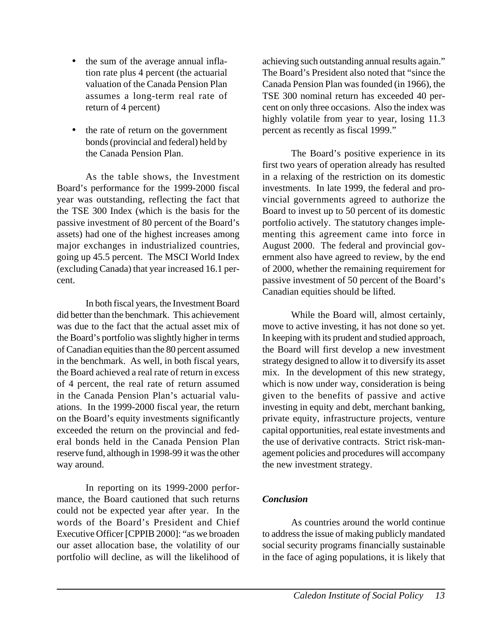- the sum of the average annual inflation rate plus 4 percent (the actuarial valuation of the Canada Pension Plan assumes a long-term real rate of return of 4 percent)
- the rate of return on the government bonds (provincial and federal) held by the Canada Pension Plan.

As the table shows, the Investment Board's performance for the 1999-2000 fiscal year was outstanding, reflecting the fact that the TSE 300 Index (which is the basis for the passive investment of 80 percent of the Board's assets) had one of the highest increases among major exchanges in industrialized countries, going up 45.5 percent. The MSCI World Index (excluding Canada) that year increased 16.1 percent.

In both fiscal years, the Investment Board did better than the benchmark. This achievement was due to the fact that the actual asset mix of the Board's portfolio was slightly higher in terms of Canadian equities than the 80 percent assumed in the benchmark. As well, in both fiscal years, the Board achieved a real rate of return in excess of 4 percent, the real rate of return assumed in the Canada Pension Plan's actuarial valuations. In the 1999-2000 fiscal year, the return on the Board's equity investments significantly exceeded the return on the provincial and federal bonds held in the Canada Pension Plan reserve fund, although in 1998-99 it was the other way around.

In reporting on its 1999-2000 performance, the Board cautioned that such returns could not be expected year after year. In the words of the Board's President and Chief Executive Officer [CPPIB 2000]: "as we broaden our asset allocation base, the volatility of our portfolio will decline, as will the likelihood of achieving such outstanding annual results again." The Board's President also noted that "since the Canada Pension Plan was founded (in 1966), the TSE 300 nominal return has exceeded 40 percent on only three occasions. Also the index was highly volatile from year to year, losing 11.3 percent as recently as fiscal 1999."

The Board's positive experience in its first two years of operation already has resulted in a relaxing of the restriction on its domestic investments. In late 1999, the federal and provincial governments agreed to authorize the Board to invest up to 50 percent of its domestic portfolio actively. The statutory changes implementing this agreement came into force in August 2000. The federal and provincial government also have agreed to review, by the end of 2000, whether the remaining requirement for passive investment of 50 percent of the Board's Canadian equities should be lifted.

While the Board will, almost certainly, move to active investing, it has not done so yet. In keeping with its prudent and studied approach, the Board will first develop a new investment strategy designed to allow it to diversify its asset mix. In the development of this new strategy, which is now under way, consideration is being given to the benefits of passive and active investing in equity and debt, merchant banking, private equity, infrastructure projects, venture capital opportunities, real estate investments and the use of derivative contracts. Strict risk-management policies and procedures will accompany the new investment strategy.

### *Conclusion*

As countries around the world continue to address the issue of making publicly mandated social security programs financially sustainable in the face of aging populations, it is likely that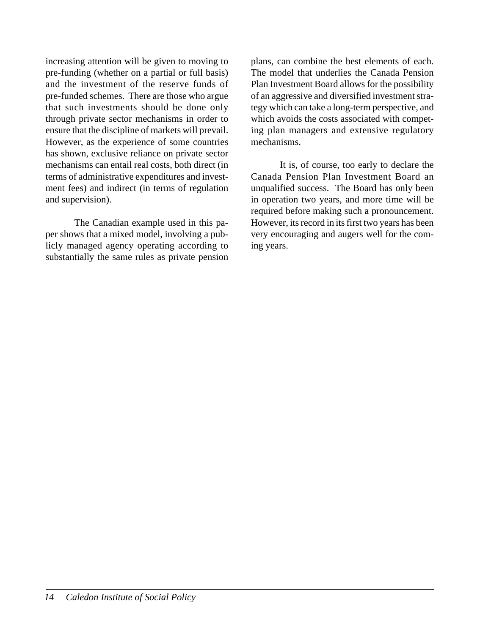increasing attention will be given to moving to pre-funding (whether on a partial or full basis) and the investment of the reserve funds of pre-funded schemes. There are those who argue that such investments should be done only through private sector mechanisms in order to ensure that the discipline of markets will prevail. However, as the experience of some countries has shown, exclusive reliance on private sector mechanisms can entail real costs, both direct (in terms of administrative expenditures and investment fees) and indirect (in terms of regulation and supervision).

The Canadian example used in this paper shows that a mixed model, involving a publicly managed agency operating according to substantially the same rules as private pension plans, can combine the best elements of each. The model that underlies the Canada Pension Plan Investment Board allows for the possibility of an aggressive and diversified investment strategy which can take a long-term perspective, and which avoids the costs associated with competing plan managers and extensive regulatory mechanisms.

It is, of course, too early to declare the Canada Pension Plan Investment Board an unqualified success. The Board has only been in operation two years, and more time will be required before making such a pronouncement. However, its record in its first two years has been very encouraging and augers well for the coming years.